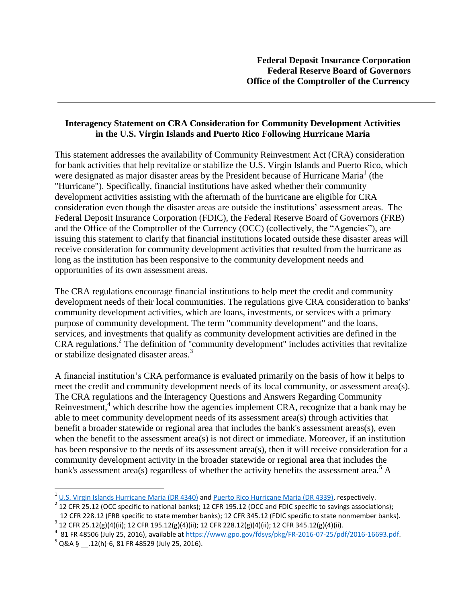## **Interagency Statement on CRA Consideration for Community Development Activities in the U.S. Virgin Islands and Puerto Rico Following Hurricane Maria**

This statement addresses the availability of Community Reinvestment Act (CRA) consideration for bank activities that help revitalize or stabilize the U.S. Virgin Islands and Puerto Rico, which were designated as major disaster areas by the President because of Hurricane Maria<sup>1</sup> (the "Hurricane"). Specifically, financial institutions have asked whether their community development activities assisting with the aftermath of the hurricane are eligible for CRA consideration even though the disaster areas are outside the institutions' assessment areas. The Federal Deposit Insurance Corporation (FDIC), the Federal Reserve Board of Governors (FRB) and the Office of the Comptroller of the Currency (OCC) (collectively, the "Agencies"), are issuing this statement to clarify that financial institutions located outside these disaster areas will receive consideration for community development activities that resulted from the hurricane as long as the institution has been responsive to the community development needs and opportunities of its own assessment areas.

The CRA regulations encourage financial institutions to help meet the credit and community development needs of their local communities. The regulations give CRA consideration to banks' community development activities, which are loans, investments, or services with a primary purpose of community development. The term "community development" and the loans, services, and investments that qualify as community development activities are defined in the CRA regulations. 2 The definition of "community development" includes activities that revitalize or stabilize designated disaster areas.<sup>3</sup>

A financial institution's CRA performance is evaluated primarily on the basis of how it helps to meet the credit and community development needs of its local community, or assessment area(s). The CRA regulations and the Interagency Questions and Answers Regarding Community Reinvestment,<sup>4</sup> which describe how the agencies implement CRA, recognize that a bank may be able to meet community development needs of its assessment area(s) through activities that benefit a broader statewide or regional area that includes the bank's assessment areas(s), even when the benefit to the assessment area(s) is not direct or immediate. Moreover, if an institution has been responsive to the needs of its assessment area(s), then it will receive consideration for a community development activity in the broader statewide or regional area that includes the bank's assessment area(s) regardless of whether the activity benefits the assessment area.<sup>5</sup> A

 $\overline{a}$ 

<sup>&</sup>lt;sup>1</sup> U.S. [Virgin Islands Hurricane Maria \(DR 4340\)](http://www.fema.gov/disaster/4340) an[d Puerto Rico Hurricane Maria \(DR 4339\),](http://www.fema.gov/disaster/4339) respectively.

 $^2$  12 CFR 25.12 (OCC specific to national banks); 12 CFR 195.12 (OCC and FDIC specific to savings associations); 12 CFR 228.12 (FRB specific to state member banks); 12 CFR 345.12 (FDIC specific to state nonmember banks).

 $^3$  12 CFR 25.12(g)(4)(ii); 12 CFR 195.12(g)(4)(ii); 12 CFR 228.12(g)(4)(ii); 12 CFR 345.12(g)(4)(ii).

 $^{4}$  81 FR 48506 (July 25, 2016), available at [https://www.gpo.gov/fdsys/pkg/FR-2016-07-25/pdf/2016-16693.pdf.](https://www.gpo.gov/fdsys/pkg/FR-2016-07-25/pdf/2016-16693.pdf)

 $^5$  Q&A § \_\_.12(h)-6, 81 FR 48529 (July 25, 2016).